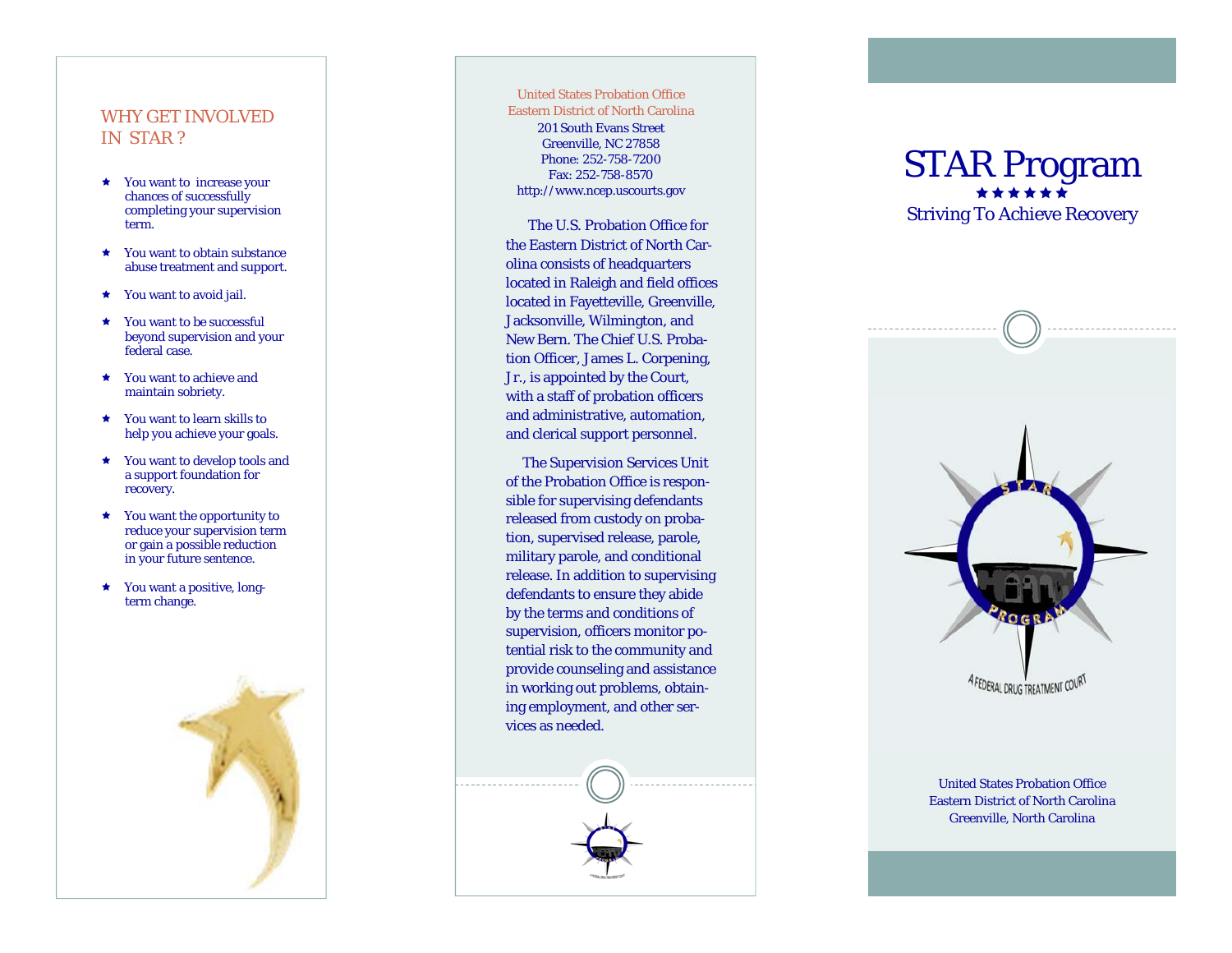### WHY GET INVOLVED IN STAR ?

- You want to increase your chances of successfully completing your supervision term.
- **★** You want to obtain substance abuse treatment and support.
- ★ You want to avoid jail.
- ★ You want to be successful beyond supervision and your federal case.
- **\*** You want to achieve and maintain sobriety.
- You want to learn skills to help you achieve your goals.
- You want to develop tools and a support foundation for recovery.
- $\star$  You want the opportunity to reduce your supervision term or gain a possible reduction in your future sentence.
- You want a positive, long term change.

#### United States Probation Office Eastern District of North Carolina

201 South Evans Street Greenville, NC 27858 Phone: 252-758-7200 Fax: 252-758-8570 http://www.ncep.uscourts.gov

The U.S. Probation Office for the Eastern District of North Carolina consists of headquarters located in Raleigh and field offices located in Fayetteville, Greenville, Jacksonville, Wilmington, and New Bern. The Chief U.S. Probation Officer, James L. Corpening, Jr., is appointed by the Court, with a staff of probation officers and administrative, automation, and clerical support personnel.

 The Supervision Services Unit of the Probation Office is responsible for supervising defendants released from custody on probation, supervised release, parole, military parole, and conditional release. In addition to supervising defendants to ensure they abide by the terms and conditions of supervision, officers monitor potential risk to the community and provide counseling and assistance in working out problems, obtaining employment, and other services as needed.

## STAR Program \*\*\*\*\*\* Striving To Achieve Recovery



United States Probation Office Eastern District of North Carolina Greenville, North Carolina